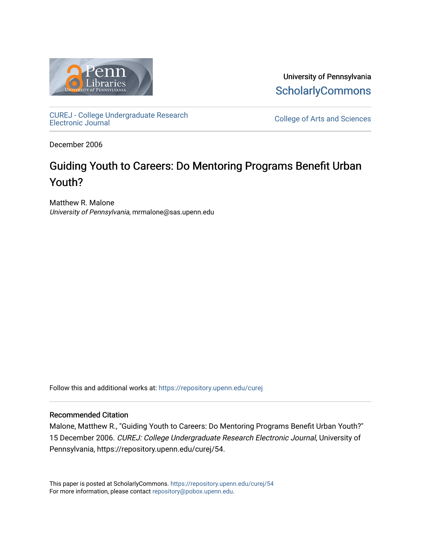

University of Pennsylvania **ScholarlyCommons** 

[CUREJ - College Undergraduate Research](https://repository.upenn.edu/curej) 

College of Arts and Sciences

December 2006

# Guiding Youth to Careers: Do Mentoring Programs Benefit Urban Youth?

Matthew R. Malone University of Pennsylvania, mrmalone@sas.upenn.edu

Follow this and additional works at: [https://repository.upenn.edu/curej](https://repository.upenn.edu/curej?utm_source=repository.upenn.edu%2Fcurej%2F54&utm_medium=PDF&utm_campaign=PDFCoverPages)

## Recommended Citation

Malone, Matthew R., "Guiding Youth to Careers: Do Mentoring Programs Benefit Urban Youth?" 15 December 2006. CUREJ: College Undergraduate Research Electronic Journal, University of Pennsylvania, https://repository.upenn.edu/curej/54.

This paper is posted at ScholarlyCommons.<https://repository.upenn.edu/curej/54> For more information, please contact [repository@pobox.upenn.edu.](mailto:repository@pobox.upenn.edu)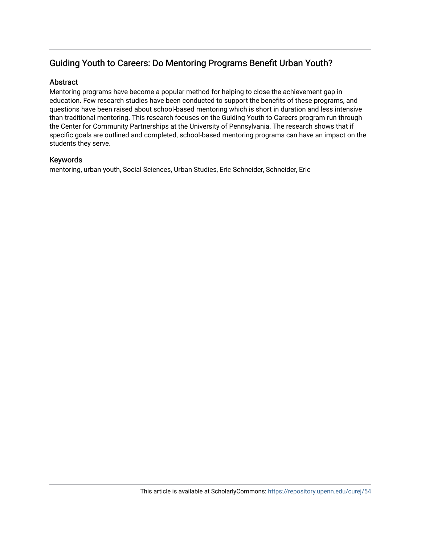## Guiding Youth to Careers: Do Mentoring Programs Benefit Urban Youth?

## **Abstract**

Mentoring programs have become a popular method for helping to close the achievement gap in education. Few research studies have been conducted to support the benefits of these programs, and questions have been raised about school-based mentoring which is short in duration and less intensive than traditional mentoring. This research focuses on the Guiding Youth to Careers program run through the Center for Community Partnerships at the University of Pennsylvania. The research shows that if specific goals are outlined and completed, school-based mentoring programs can have an impact on the students they serve.

## Keywords

mentoring, urban youth, Social Sciences, Urban Studies, Eric Schneider, Schneider, Eric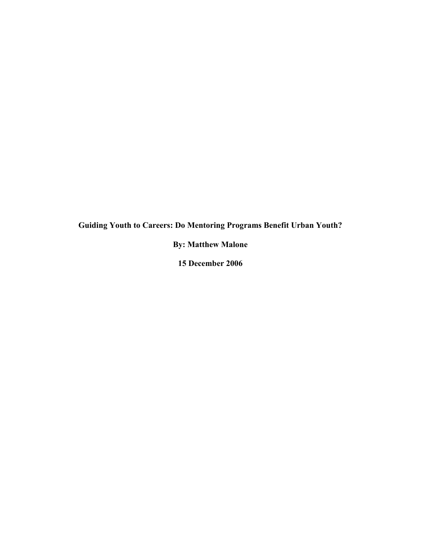**Guiding Youth to Careers: Do Mentoring Programs Benefit Urban Youth?** 

**By: Matthew Malone** 

**15 December 2006**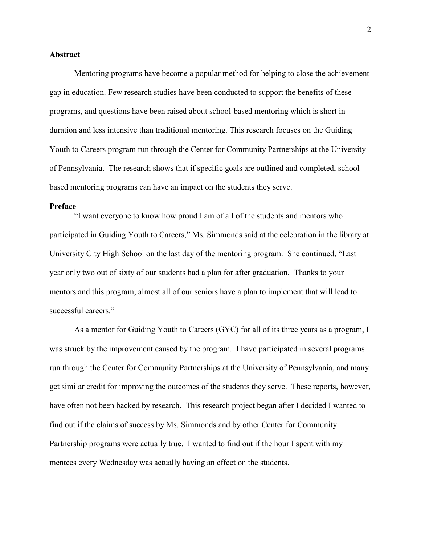#### **Abstract**

Mentoring programs have become a popular method for helping to close the achievement gap in education. Few research studies have been conducted to support the benefits of these programs, and questions have been raised about school-based mentoring which is short in duration and less intensive than traditional mentoring. This research focuses on the Guiding Youth to Careers program run through the Center for Community Partnerships at the University of Pennsylvania. The research shows that if specific goals are outlined and completed, schoolbased mentoring programs can have an impact on the students they serve.

#### **Preface**

 "I want everyone to know how proud I am of all of the students and mentors who participated in Guiding Youth to Careers," Ms. Simmonds said at the celebration in the library at University City High School on the last day of the mentoring program. She continued, "Last year only two out of sixty of our students had a plan for after graduation. Thanks to your mentors and this program, almost all of our seniors have a plan to implement that will lead to successful careers."

 As a mentor for Guiding Youth to Careers (GYC) for all of its three years as a program, I was struck by the improvement caused by the program. I have participated in several programs run through the Center for Community Partnerships at the University of Pennsylvania, and many get similar credit for improving the outcomes of the students they serve. These reports, however, have often not been backed by research. This research project began after I decided I wanted to find out if the claims of success by Ms. Simmonds and by other Center for Community Partnership programs were actually true. I wanted to find out if the hour I spent with my mentees every Wednesday was actually having an effect on the students.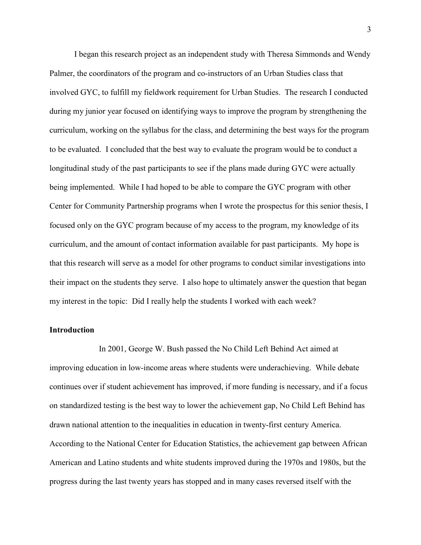I began this research project as an independent study with Theresa Simmonds and Wendy Palmer, the coordinators of the program and co-instructors of an Urban Studies class that involved GYC, to fulfill my fieldwork requirement for Urban Studies. The research I conducted during my junior year focused on identifying ways to improve the program by strengthening the curriculum, working on the syllabus for the class, and determining the best ways for the program to be evaluated. I concluded that the best way to evaluate the program would be to conduct a longitudinal study of the past participants to see if the plans made during GYC were actually being implemented. While I had hoped to be able to compare the GYC program with other Center for Community Partnership programs when I wrote the prospectus for this senior thesis, I focused only on the GYC program because of my access to the program, my knowledge of its curriculum, and the amount of contact information available for past participants. My hope is that this research will serve as a model for other programs to conduct similar investigations into their impact on the students they serve. I also hope to ultimately answer the question that began my interest in the topic: Did I really help the students I worked with each week?

## **Introduction**

In 2001, George W. Bush passed the No Child Left Behind Act aimed at improving education in low-income areas where students were underachieving. While debate continues over if student achievement has improved, if more funding is necessary, and if a focus on standardized testing is the best way to lower the achievement gap, No Child Left Behind has drawn national attention to the inequalities in education in twenty-first century America. According to the National Center for Education Statistics, the achievement gap between African American and Latino students and white students improved during the 1970s and 1980s, but the progress during the last twenty years has stopped and in many cases reversed itself with the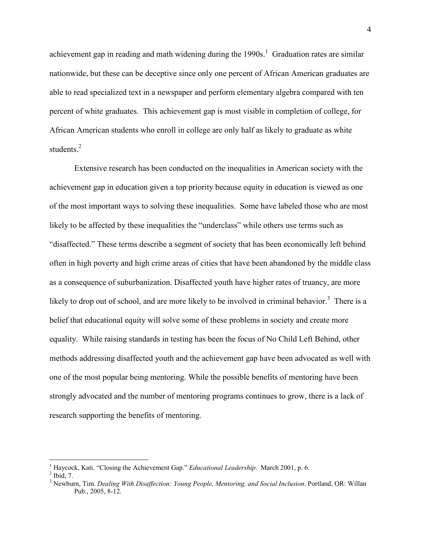achievement gap in reading and math widening during the  $1990s<sup>1</sup>$  Graduation rates are similar nationwide, but these can be deceptive since only one percent of African American graduates are able to read specialized text in a newspaper and perform elementary algebra compared with ten percent of white graduates. This achievement gap is most visible in completion of college, for African American students who enroll in college are only half as likely to graduate as white students $^2$ 

Extensive research has been conducted on the inequalities in American society with the achievement gap in education given a top priority because equity in education is viewed as one of the most important ways to solving these inequalities. Some have labeled those who are most likely to be affected by these inequalities the "underclass" while others use terms such as "disaffected." These terms describe a segment of society that has been economically left behind often in high poverty and high crime areas of cities that have been abandoned by the middle class as a consequence of suburbanization. Disaffected youth have higher rates of truancy, are more likely to drop out of school, and are more likely to be involved in criminal behavior.<sup>3</sup> There is a belief that educational equity will solve some of these problems in society and create more equality. While raising standards in testing has been the focus of No Child Left Behind, other methods addressing disaffected youth and the achievement gap have been advocated as well with one of the most popular being mentoring. While the possible benefits of mentoring have been strongly advocated and the number of mentoring programs continues to grow, there is a lack of research supporting the benefits of mentoring.

<sup>&</sup>lt;sup>1</sup> Haycock, Kati. "Closing the Achievement Gap." *Educational Leadership*. March 2001, p. 6. <sup>2</sup> Ibid. 7.

<sup>&</sup>lt;sup>3</sup> Newburn, Tim. *Dealing With Disaffection: Young People, Mentoring, and Social Inclusion.* Portland, OR: Willan Pub., 2005, 8-12.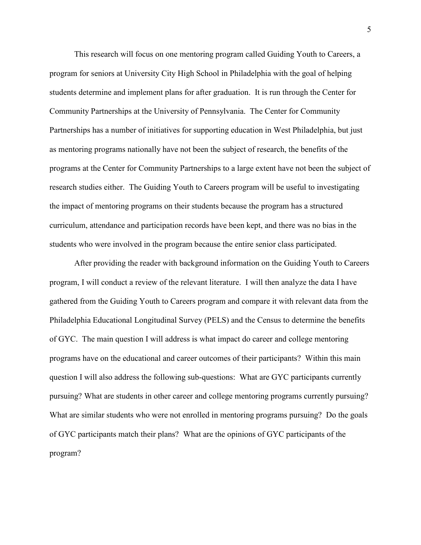This research will focus on one mentoring program called Guiding Youth to Careers, a program for seniors at University City High School in Philadelphia with the goal of helping students determine and implement plans for after graduation. It is run through the Center for Community Partnerships at the University of Pennsylvania. The Center for Community Partnerships has a number of initiatives for supporting education in West Philadelphia, but just as mentoring programs nationally have not been the subject of research, the benefits of the programs at the Center for Community Partnerships to a large extent have not been the subject of research studies either. The Guiding Youth to Careers program will be useful to investigating the impact of mentoring programs on their students because the program has a structured curriculum, attendance and participation records have been kept, and there was no bias in the students who were involved in the program because the entire senior class participated.

 After providing the reader with background information on the Guiding Youth to Careers program, I will conduct a review of the relevant literature. I will then analyze the data I have gathered from the Guiding Youth to Careers program and compare it with relevant data from the Philadelphia Educational Longitudinal Survey (PELS) and the Census to determine the benefits of GYC. The main question I will address is what impact do career and college mentoring programs have on the educational and career outcomes of their participants? Within this main question I will also address the following sub-questions: What are GYC participants currently pursuing? What are students in other career and college mentoring programs currently pursuing? What are similar students who were not enrolled in mentoring programs pursuing? Do the goals of GYC participants match their plans? What are the opinions of GYC participants of the program?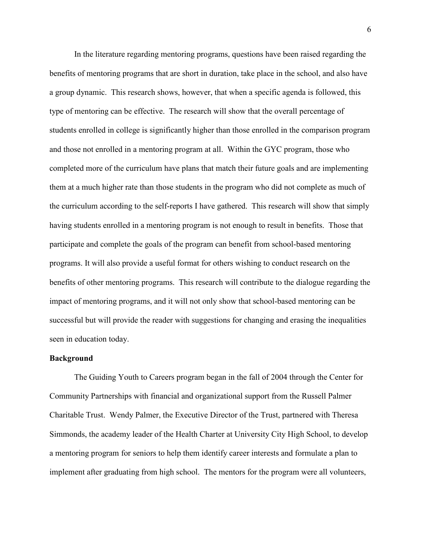In the literature regarding mentoring programs, questions have been raised regarding the benefits of mentoring programs that are short in duration, take place in the school, and also have a group dynamic. This research shows, however, that when a specific agenda is followed, this type of mentoring can be effective. The research will show that the overall percentage of students enrolled in college is significantly higher than those enrolled in the comparison program and those not enrolled in a mentoring program at all. Within the GYC program, those who completed more of the curriculum have plans that match their future goals and are implementing them at a much higher rate than those students in the program who did not complete as much of the curriculum according to the self-reports I have gathered. This research will show that simply having students enrolled in a mentoring program is not enough to result in benefits. Those that participate and complete the goals of the program can benefit from school-based mentoring programs. It will also provide a useful format for others wishing to conduct research on the benefits of other mentoring programs. This research will contribute to the dialogue regarding the impact of mentoring programs, and it will not only show that school-based mentoring can be successful but will provide the reader with suggestions for changing and erasing the inequalities seen in education today.

#### **Background**

 The Guiding Youth to Careers program began in the fall of 2004 through the Center for Community Partnerships with financial and organizational support from the Russell Palmer Charitable Trust. Wendy Palmer, the Executive Director of the Trust, partnered with Theresa Simmonds, the academy leader of the Health Charter at University City High School, to develop a mentoring program for seniors to help them identify career interests and formulate a plan to implement after graduating from high school. The mentors for the program were all volunteers,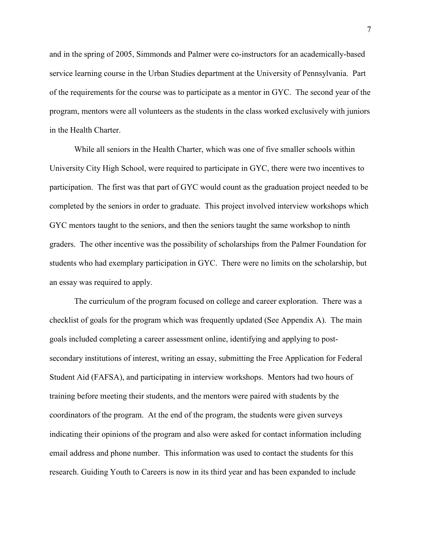and in the spring of 2005, Simmonds and Palmer were co-instructors for an academically-based service learning course in the Urban Studies department at the University of Pennsylvania. Part of the requirements for the course was to participate as a mentor in GYC. The second year of the program, mentors were all volunteers as the students in the class worked exclusively with juniors in the Health Charter.

 While all seniors in the Health Charter, which was one of five smaller schools within University City High School, were required to participate in GYC, there were two incentives to participation. The first was that part of GYC would count as the graduation project needed to be completed by the seniors in order to graduate. This project involved interview workshops which GYC mentors taught to the seniors, and then the seniors taught the same workshop to ninth graders. The other incentive was the possibility of scholarships from the Palmer Foundation for students who had exemplary participation in GYC. There were no limits on the scholarship, but an essay was required to apply.

 The curriculum of the program focused on college and career exploration. There was a checklist of goals for the program which was frequently updated (See Appendix A). The main goals included completing a career assessment online, identifying and applying to postsecondary institutions of interest, writing an essay, submitting the Free Application for Federal Student Aid (FAFSA), and participating in interview workshops. Mentors had two hours of training before meeting their students, and the mentors were paired with students by the coordinators of the program. At the end of the program, the students were given surveys indicating their opinions of the program and also were asked for contact information including email address and phone number. This information was used to contact the students for this research. Guiding Youth to Careers is now in its third year and has been expanded to include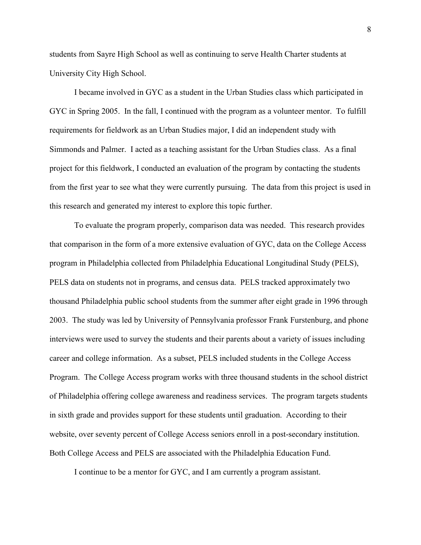students from Sayre High School as well as continuing to serve Health Charter students at University City High School.

 I became involved in GYC as a student in the Urban Studies class which participated in GYC in Spring 2005. In the fall, I continued with the program as a volunteer mentor. To fulfill requirements for fieldwork as an Urban Studies major, I did an independent study with Simmonds and Palmer. I acted as a teaching assistant for the Urban Studies class. As a final project for this fieldwork, I conducted an evaluation of the program by contacting the students from the first year to see what they were currently pursuing. The data from this project is used in this research and generated my interest to explore this topic further.

To evaluate the program properly, comparison data was needed. This research provides that comparison in the form of a more extensive evaluation of GYC, data on the College Access program in Philadelphia collected from Philadelphia Educational Longitudinal Study (PELS), PELS data on students not in programs, and census data. PELS tracked approximately two thousand Philadelphia public school students from the summer after eight grade in 1996 through 2003. The study was led by University of Pennsylvania professor Frank Furstenburg, and phone interviews were used to survey the students and their parents about a variety of issues including career and college information. As a subset, PELS included students in the College Access Program. The College Access program works with three thousand students in the school district of Philadelphia offering college awareness and readiness services. The program targets students in sixth grade and provides support for these students until graduation. According to their website, over seventy percent of College Access seniors enroll in a post-secondary institution. Both College Access and PELS are associated with the Philadelphia Education Fund.

I continue to be a mentor for GYC, and I am currently a program assistant.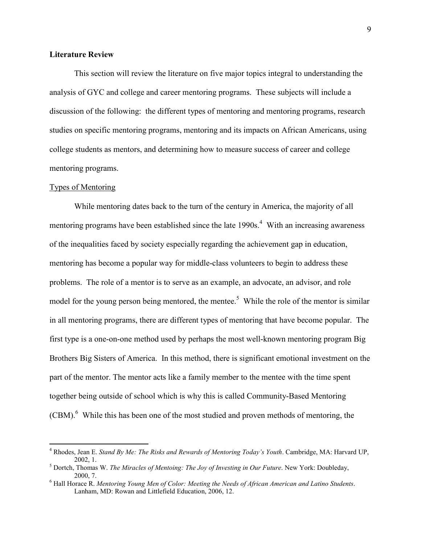#### **Literature Review**

 This section will review the literature on five major topics integral to understanding the analysis of GYC and college and career mentoring programs. These subjects will include a discussion of the following: the different types of mentoring and mentoring programs, research studies on specific mentoring programs, mentoring and its impacts on African Americans, using college students as mentors, and determining how to measure success of career and college mentoring programs.

#### Types of Mentoring

While mentoring dates back to the turn of the century in America, the majority of all mentoring programs have been established since the late  $1990s<sup>4</sup>$  With an increasing awareness of the inequalities faced by society especially regarding the achievement gap in education, mentoring has become a popular way for middle-class volunteers to begin to address these problems. The role of a mentor is to serve as an example, an advocate, an advisor, and role model for the young person being mentored, the mentee.<sup>5</sup> While the role of the mentor is similar in all mentoring programs, there are different types of mentoring that have become popular. The first type is a one-on-one method used by perhaps the most well-known mentoring program Big Brothers Big Sisters of America. In this method, there is significant emotional investment on the part of the mentor. The mentor acts like a family member to the mentee with the time spent together being outside of school which is why this is called Community-Based Mentoring (CBM).<sup>6</sup> While this has been one of the most studied and proven methods of mentoring, the

<sup>4</sup> Rhodes, Jean E. *Stand By Me: The Risks and Rewards of Mentoring Today's Youth*. Cambridge, MA: Harvard UP, 2002, 1. 5 Dortch, Thomas W. *The Miracles of Mentoing: The Joy of Investing in Our Future*. New York: Doubleday,

<sup>2000, 7. 6</sup> Hall Horace R. *Mentoring Young Men of Color: Meeting the Needs of African American and Latino Students*.

Lanham, MD: Rowan and Littlefield Education, 2006, 12.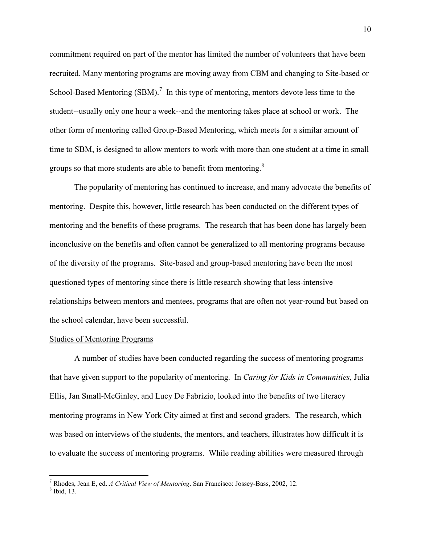commitment required on part of the mentor has limited the number of volunteers that have been recruited. Many mentoring programs are moving away from CBM and changing to Site-based or School-Based Mentoring  $(SBM)$ .<sup>7</sup> In this type of mentoring, mentors devote less time to the student--usually only one hour a week--and the mentoring takes place at school or work. The other form of mentoring called Group-Based Mentoring, which meets for a similar amount of time to SBM, is designed to allow mentors to work with more than one student at a time in small groups so that more students are able to benefit from mentoring.<sup>8</sup>

The popularity of mentoring has continued to increase, and many advocate the benefits of mentoring. Despite this, however, little research has been conducted on the different types of mentoring and the benefits of these programs. The research that has been done has largely been inconclusive on the benefits and often cannot be generalized to all mentoring programs because of the diversity of the programs. Site-based and group-based mentoring have been the most questioned types of mentoring since there is little research showing that less-intensive relationships between mentors and mentees, programs that are often not year-round but based on the school calendar, have been successful.

#### Studies of Mentoring Programs

A number of studies have been conducted regarding the success of mentoring programs that have given support to the popularity of mentoring. In *Caring for Kids in Communities*, Julia Ellis, Jan Small-McGinley, and Lucy De Fabrizio, looked into the benefits of two literacy mentoring programs in New York City aimed at first and second graders. The research, which was based on interviews of the students, the mentors, and teachers, illustrates how difficult it is to evaluate the success of mentoring programs. While reading abilities were measured through

<sup>7</sup> Rhodes, Jean E, ed. *<sup>A</sup> Critical View of Mentoring*. San Francisco: Jossey-Bass, 2002, 12. 8 Ibid, 13.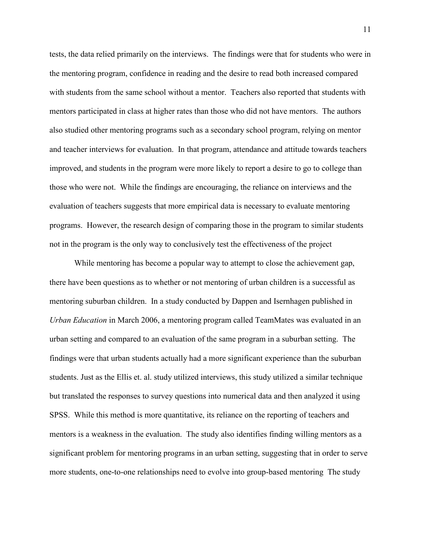tests, the data relied primarily on the interviews. The findings were that for students who were in the mentoring program, confidence in reading and the desire to read both increased compared with students from the same school without a mentor. Teachers also reported that students with mentors participated in class at higher rates than those who did not have mentors. The authors also studied other mentoring programs such as a secondary school program, relying on mentor and teacher interviews for evaluation. In that program, attendance and attitude towards teachers improved, and students in the program were more likely to report a desire to go to college than those who were not. While the findings are encouraging, the reliance on interviews and the evaluation of teachers suggests that more empirical data is necessary to evaluate mentoring programs. However, the research design of comparing those in the program to similar students not in the program is the only way to conclusively test the effectiveness of the project

 While mentoring has become a popular way to attempt to close the achievement gap, there have been questions as to whether or not mentoring of urban children is a successful as mentoring suburban children. In a study conducted by Dappen and Isernhagen published in *Urban Education* in March 2006, a mentoring program called TeamMates was evaluated in an urban setting and compared to an evaluation of the same program in a suburban setting. The findings were that urban students actually had a more significant experience than the suburban students. Just as the Ellis et. al. study utilized interviews, this study utilized a similar technique but translated the responses to survey questions into numerical data and then analyzed it using SPSS. While this method is more quantitative, its reliance on the reporting of teachers and mentors is a weakness in the evaluation. The study also identifies finding willing mentors as a significant problem for mentoring programs in an urban setting, suggesting that in order to serve more students, one-to-one relationships need to evolve into group-based mentoring The study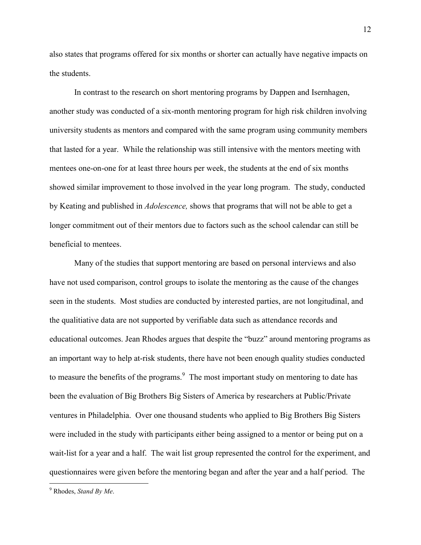also states that programs offered for six months or shorter can actually have negative impacts on the students.

In contrast to the research on short mentoring programs by Dappen and Isernhagen, another study was conducted of a six-month mentoring program for high risk children involving university students as mentors and compared with the same program using community members that lasted for a year. While the relationship was still intensive with the mentors meeting with mentees one-on-one for at least three hours per week, the students at the end of six months showed similar improvement to those involved in the year long program. The study, conducted by Keating and published in *Adolescence,* shows that programs that will not be able to get a longer commitment out of their mentors due to factors such as the school calendar can still be beneficial to mentees.

Many of the studies that support mentoring are based on personal interviews and also have not used comparison, control groups to isolate the mentoring as the cause of the changes seen in the students. Most studies are conducted by interested parties, are not longitudinal, and the qualitiative data are not supported by verifiable data such as attendance records and educational outcomes. Jean Rhodes argues that despite the "buzz" around mentoring programs as an important way to help at-risk students, there have not been enough quality studies conducted to measure the benefits of the programs.<sup>9</sup> The most important study on mentoring to date has been the evaluation of Big Brothers Big Sisters of America by researchers at Public/Private ventures in Philadelphia. Over one thousand students who applied to Big Brothers Big Sisters were included in the study with participants either being assigned to a mentor or being put on a wait-list for a year and a half. The wait list group represented the control for the experiment, and questionnaires were given before the mentoring began and after the year and a half period. The

<sup>9</sup> Rhodes, *Stand By Me*.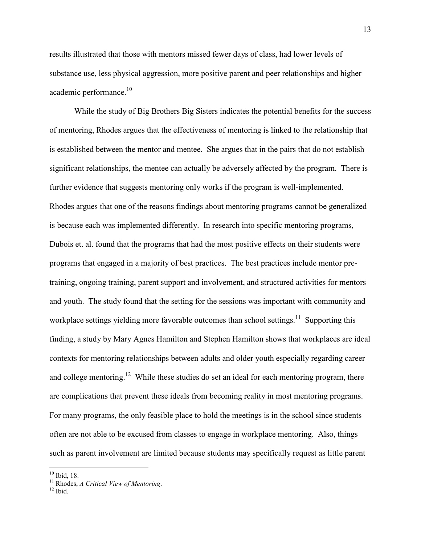results illustrated that those with mentors missed fewer days of class, had lower levels of substance use, less physical aggression, more positive parent and peer relationships and higher academic performance. $10$ 

While the study of Big Brothers Big Sisters indicates the potential benefits for the success of mentoring, Rhodes argues that the effectiveness of mentoring is linked to the relationship that is established between the mentor and mentee. She argues that in the pairs that do not establish significant relationships, the mentee can actually be adversely affected by the program. There is further evidence that suggests mentoring only works if the program is well-implemented. Rhodes argues that one of the reasons findings about mentoring programs cannot be generalized is because each was implemented differently. In research into specific mentoring programs, Dubois et. al. found that the programs that had the most positive effects on their students were programs that engaged in a majority of best practices. The best practices include mentor pretraining, ongoing training, parent support and involvement, and structured activities for mentors and youth. The study found that the setting for the sessions was important with community and workplace settings yielding more favorable outcomes than school settings.<sup>11</sup> Supporting this finding, a study by Mary Agnes Hamilton and Stephen Hamilton shows that workplaces are ideal contexts for mentoring relationships between adults and older youth especially regarding career and college mentoring.<sup>12</sup> While these studies do set an ideal for each mentoring program, there are complications that prevent these ideals from becoming reality in most mentoring programs. For many programs, the only feasible place to hold the meetings is in the school since students often are not able to be excused from classes to engage in workplace mentoring. Also, things such as parent involvement are limited because students may specifically request as little parent

 $10$  Ibid, 18.

<sup>&</sup>lt;sup>11</sup> Rhodes, *A Critical View of Mentoring*.<br><sup>12</sup> Ibid.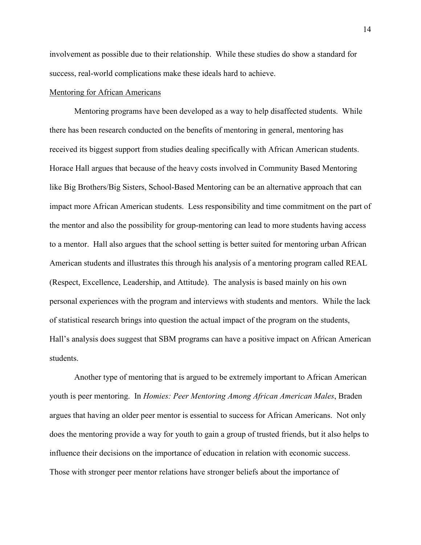involvement as possible due to their relationship. While these studies do show a standard for success, real-world complications make these ideals hard to achieve.

#### Mentoring for African Americans

Mentoring programs have been developed as a way to help disaffected students. While there has been research conducted on the benefits of mentoring in general, mentoring has received its biggest support from studies dealing specifically with African American students. Horace Hall argues that because of the heavy costs involved in Community Based Mentoring like Big Brothers/Big Sisters, School-Based Mentoring can be an alternative approach that can impact more African American students. Less responsibility and time commitment on the part of the mentor and also the possibility for group-mentoring can lead to more students having access to a mentor. Hall also argues that the school setting is better suited for mentoring urban African American students and illustrates this through his analysis of a mentoring program called REAL (Respect, Excellence, Leadership, and Attitude). The analysis is based mainly on his own personal experiences with the program and interviews with students and mentors. While the lack of statistical research brings into question the actual impact of the program on the students, Hall's analysis does suggest that SBM programs can have a positive impact on African American students.

 Another type of mentoring that is argued to be extremely important to African American youth is peer mentoring. In *Homies: Peer Mentoring Among African American Males*, Braden argues that having an older peer mentor is essential to success for African Americans. Not only does the mentoring provide a way for youth to gain a group of trusted friends, but it also helps to influence their decisions on the importance of education in relation with economic success. Those with stronger peer mentor relations have stronger beliefs about the importance of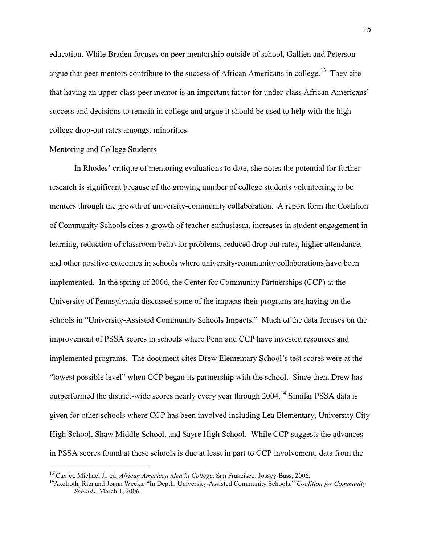education. While Braden focuses on peer mentorship outside of school, Gallien and Peterson argue that peer mentors contribute to the success of African Americans in college.<sup>13</sup> They cite that having an upper-class peer mentor is an important factor for under-class African Americans' success and decisions to remain in college and argue it should be used to help with the high college drop-out rates amongst minorities.

#### Mentoring and College Students

In Rhodes' critique of mentoring evaluations to date, she notes the potential for further research is significant because of the growing number of college students volunteering to be mentors through the growth of university-community collaboration. A report form the Coalition of Community Schools cites a growth of teacher enthusiasm, increases in student engagement in learning, reduction of classroom behavior problems, reduced drop out rates, higher attendance, and other positive outcomes in schools where university-community collaborations have been implemented. In the spring of 2006, the Center for Community Partnerships (CCP) at the University of Pennsylvania discussed some of the impacts their programs are having on the schools in "University-Assisted Community Schools Impacts." Much of the data focuses on the improvement of PSSA scores in schools where Penn and CCP have invested resources and implemented programs. The document cites Drew Elementary School's test scores were at the "lowest possible level" when CCP began its partnership with the school. Since then, Drew has outperformed the district-wide scores nearly every year through 2004.<sup>14</sup> Similar PSSA data is given for other schools where CCP has been involved including Lea Elementary, University City High School, Shaw Middle School, and Sayre High School. While CCP suggests the advances in PSSA scores found at these schools is due at least in part to CCP involvement, data from the

<sup>&</sup>lt;sup>13</sup> Cuyjet, Michael J., ed. *African American Men in College*. San Francisco: Jossey-Bass, 2006.<br><sup>14</sup>Axelroth, Rita and Joann Weeks. "In Depth: University-Assisted Community Schools." *Coalition for Community Schools*. March 1, 2006.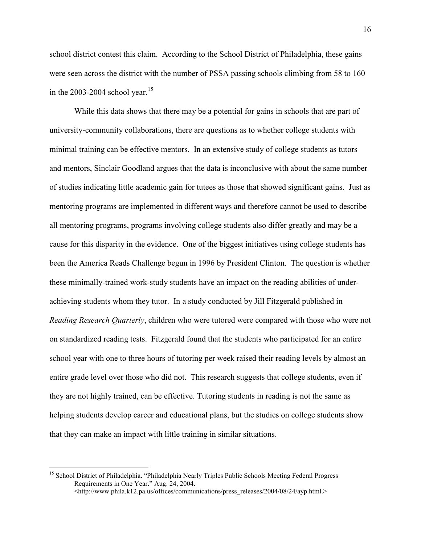school district contest this claim. According to the School District of Philadelphia, these gains were seen across the district with the number of PSSA passing schools climbing from 58 to 160 in the 2003-2004 school year.<sup>15</sup>

While this data shows that there may be a potential for gains in schools that are part of university-community collaborations, there are questions as to whether college students with minimal training can be effective mentors. In an extensive study of college students as tutors and mentors, Sinclair Goodland argues that the data is inconclusive with about the same number of studies indicating little academic gain for tutees as those that showed significant gains. Just as mentoring programs are implemented in different ways and therefore cannot be used to describe all mentoring programs, programs involving college students also differ greatly and may be a cause for this disparity in the evidence. One of the biggest initiatives using college students has been the America Reads Challenge begun in 1996 by President Clinton. The question is whether these minimally-trained work-study students have an impact on the reading abilities of underachieving students whom they tutor. In a study conducted by Jill Fitzgerald published in *Reading Research Quarterly*, children who were tutored were compared with those who were not on standardized reading tests. Fitzgerald found that the students who participated for an entire school year with one to three hours of tutoring per week raised their reading levels by almost an entire grade level over those who did not. This research suggests that college students, even if they are not highly trained, can be effective. Tutoring students in reading is not the same as helping students develop career and educational plans, but the studies on college students show that they can make an impact with little training in similar situations.

<sup>&</sup>lt;sup>15</sup> School District of Philadelphia. "Philadelphia Nearly Triples Public Schools Meeting Federal Progress Requirements in One Year." Aug. 24, 2004. <http://www.phila.k12.pa.us/offices/communications/press\_releases/2004/08/24/ayp.html.>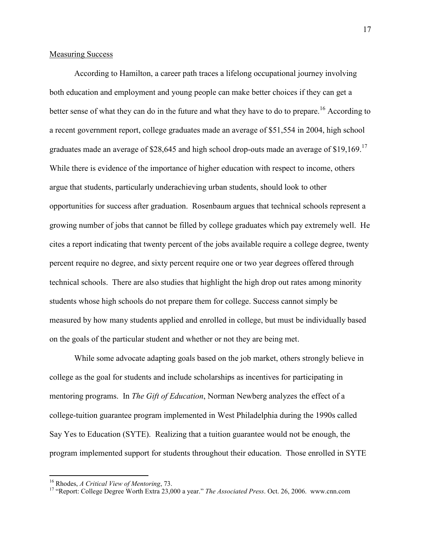#### Measuring Success

According to Hamilton, a career path traces a lifelong occupational journey involving both education and employment and young people can make better choices if they can get a better sense of what they can do in the future and what they have to do to prepare.<sup>16</sup> According to a recent government report, college graduates made an average of \$51,554 in 2004, high school graduates made an average of \$28,645 and high school drop-outs made an average of  $$19,169$ .<sup>17</sup> While there is evidence of the importance of higher education with respect to income, others argue that students, particularly underachieving urban students, should look to other opportunities for success after graduation. Rosenbaum argues that technical schools represent a growing number of jobs that cannot be filled by college graduates which pay extremely well. He cites a report indicating that twenty percent of the jobs available require a college degree, twenty percent require no degree, and sixty percent require one or two year degrees offered through technical schools. There are also studies that highlight the high drop out rates among minority students whose high schools do not prepare them for college. Success cannot simply be measured by how many students applied and enrolled in college, but must be individually based on the goals of the particular student and whether or not they are being met.

 While some advocate adapting goals based on the job market, others strongly believe in college as the goal for students and include scholarships as incentives for participating in mentoring programs. In *The Gift of Education*, Norman Newberg analyzes the effect of a college-tuition guarantee program implemented in West Philadelphia during the 1990s called Say Yes to Education (SYTE). Realizing that a tuition guarantee would not be enough, the program implemented support for students throughout their education. Those enrolled in SYTE

<sup>&</sup>lt;sup>16</sup> Rhodes, *A Critical View of Mentoring*, 73.<br><sup>17</sup> "Report: College Degree Worth Extra 23,000 a year." *The Associated Press*. Oct. 26, 2006. www.cnn.com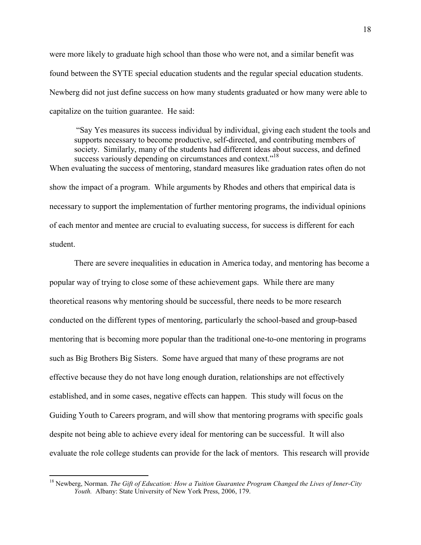were more likely to graduate high school than those who were not, and a similar benefit was found between the SYTE special education students and the regular special education students. Newberg did not just define success on how many students graduated or how many were able to capitalize on the tuition guarantee. He said:

"Say Yes measures its success individual by individual, giving each student the tools and supports necessary to become productive, self-directed, and contributing members of society. Similarly, many of the students had different ideas about success, and defined success variously depending on circumstances and context."<sup>18</sup> When evaluating the success of mentoring, standard measures like graduation rates often do not

show the impact of a program. While arguments by Rhodes and others that empirical data is necessary to support the implementation of further mentoring programs, the individual opinions of each mentor and mentee are crucial to evaluating success, for success is different for each student.

 There are severe inequalities in education in America today, and mentoring has become a popular way of trying to close some of these achievement gaps. While there are many theoretical reasons why mentoring should be successful, there needs to be more research conducted on the different types of mentoring, particularly the school-based and group-based mentoring that is becoming more popular than the traditional one-to-one mentoring in programs such as Big Brothers Big Sisters. Some have argued that many of these programs are not effective because they do not have long enough duration, relationships are not effectively established, and in some cases, negative effects can happen. This study will focus on the Guiding Youth to Careers program, and will show that mentoring programs with specific goals despite not being able to achieve every ideal for mentoring can be successful. It will also evaluate the role college students can provide for the lack of mentors. This research will provide

<sup>18</sup> Newberg, Norman. *The Gift of Education: How a Tuition Guarantee Program Changed the Lives of Inner-City Youth.* Albany: State University of New York Press, 2006, 179.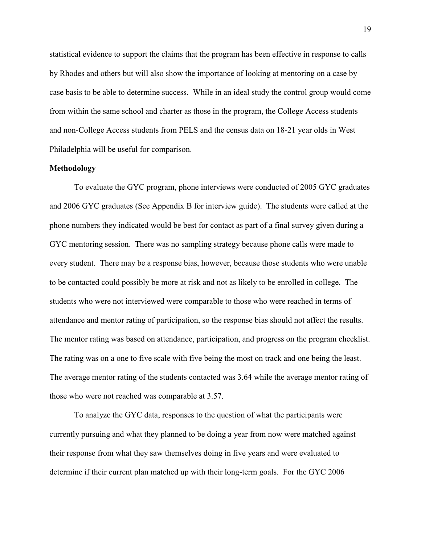statistical evidence to support the claims that the program has been effective in response to calls by Rhodes and others but will also show the importance of looking at mentoring on a case by case basis to be able to determine success. While in an ideal study the control group would come from within the same school and charter as those in the program, the College Access students and non-College Access students from PELS and the census data on 18-21 year olds in West Philadelphia will be useful for comparison.

#### **Methodology**

 To evaluate the GYC program, phone interviews were conducted of 2005 GYC graduates and 2006 GYC graduates (See Appendix B for interview guide). The students were called at the phone numbers they indicated would be best for contact as part of a final survey given during a GYC mentoring session. There was no sampling strategy because phone calls were made to every student. There may be a response bias, however, because those students who were unable to be contacted could possibly be more at risk and not as likely to be enrolled in college. The students who were not interviewed were comparable to those who were reached in terms of attendance and mentor rating of participation, so the response bias should not affect the results. The mentor rating was based on attendance, participation, and progress on the program checklist. The rating was on a one to five scale with five being the most on track and one being the least. The average mentor rating of the students contacted was 3.64 while the average mentor rating of those who were not reached was comparable at 3.57.

 To analyze the GYC data, responses to the question of what the participants were currently pursuing and what they planned to be doing a year from now were matched against their response from what they saw themselves doing in five years and were evaluated to determine if their current plan matched up with their long-term goals. For the GYC 2006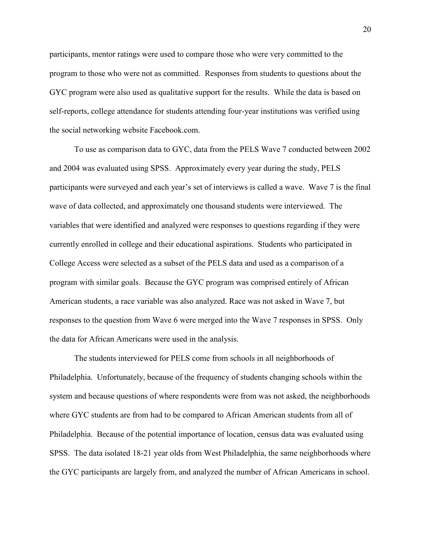participants, mentor ratings were used to compare those who were very committed to the program to those who were not as committed. Responses from students to questions about the GYC program were also used as qualitative support for the results. While the data is based on self-reports, college attendance for students attending four-year institutions was verified using the social networking website Facebook.com.

 To use as comparison data to GYC, data from the PELS Wave 7 conducted between 2002 and 2004 was evaluated using SPSS. Approximately every year during the study, PELS participants were surveyed and each year's set of interviews is called a wave. Wave 7 is the final wave of data collected, and approximately one thousand students were interviewed. The variables that were identified and analyzed were responses to questions regarding if they were currently enrolled in college and their educational aspirations. Students who participated in College Access were selected as a subset of the PELS data and used as a comparison of a program with similar goals. Because the GYC program was comprised entirely of African American students, a race variable was also analyzed. Race was not asked in Wave 7, but responses to the question from Wave 6 were merged into the Wave 7 responses in SPSS. Only the data for African Americans were used in the analysis.

 The students interviewed for PELS come from schools in all neighborhoods of Philadelphia. Unfortunately, because of the frequency of students changing schools within the system and because questions of where respondents were from was not asked, the neighborhoods where GYC students are from had to be compared to African American students from all of Philadelphia. Because of the potential importance of location, census data was evaluated using SPSS. The data isolated 18-21 year olds from West Philadelphia, the same neighborhoods where the GYC participants are largely from, and analyzed the number of African Americans in school.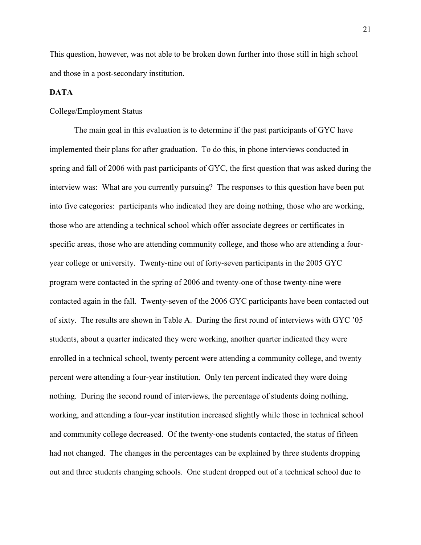This question, however, was not able to be broken down further into those still in high school and those in a post-secondary institution.

## **DATA**

#### College/Employment Status

 The main goal in this evaluation is to determine if the past participants of GYC have implemented their plans for after graduation. To do this, in phone interviews conducted in spring and fall of 2006 with past participants of GYC, the first question that was asked during the interview was: What are you currently pursuing? The responses to this question have been put into five categories: participants who indicated they are doing nothing, those who are working, those who are attending a technical school which offer associate degrees or certificates in specific areas, those who are attending community college, and those who are attending a fouryear college or university. Twenty-nine out of forty-seven participants in the 2005 GYC program were contacted in the spring of 2006 and twenty-one of those twenty-nine were contacted again in the fall. Twenty-seven of the 2006 GYC participants have been contacted out of sixty. The results are shown in Table A. During the first round of interviews with GYC '05 students, about a quarter indicated they were working, another quarter indicated they were enrolled in a technical school, twenty percent were attending a community college, and twenty percent were attending a four-year institution. Only ten percent indicated they were doing nothing. During the second round of interviews, the percentage of students doing nothing, working, and attending a four-year institution increased slightly while those in technical school and community college decreased. Of the twenty-one students contacted, the status of fifteen had not changed. The changes in the percentages can be explained by three students dropping out and three students changing schools. One student dropped out of a technical school due to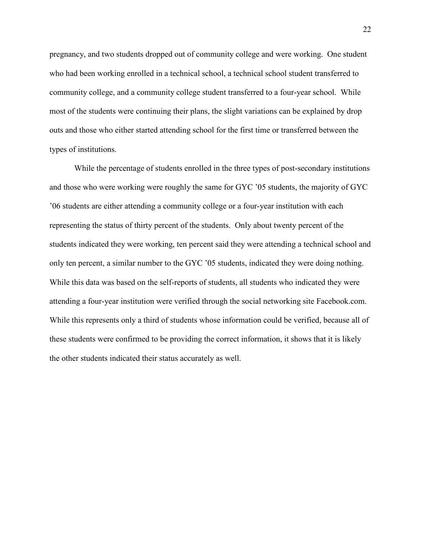pregnancy, and two students dropped out of community college and were working. One student who had been working enrolled in a technical school, a technical school student transferred to community college, and a community college student transferred to a four-year school. While most of the students were continuing their plans, the slight variations can be explained by drop outs and those who either started attending school for the first time or transferred between the types of institutions.

 While the percentage of students enrolled in the three types of post-secondary institutions and those who were working were roughly the same for GYC '05 students, the majority of GYC '06 students are either attending a community college or a four-year institution with each representing the status of thirty percent of the students. Only about twenty percent of the students indicated they were working, ten percent said they were attending a technical school and only ten percent, a similar number to the GYC '05 students, indicated they were doing nothing. While this data was based on the self-reports of students, all students who indicated they were attending a four-year institution were verified through the social networking site Facebook.com. While this represents only a third of students whose information could be verified, because all of these students were confirmed to be providing the correct information, it shows that it is likely the other students indicated their status accurately as well.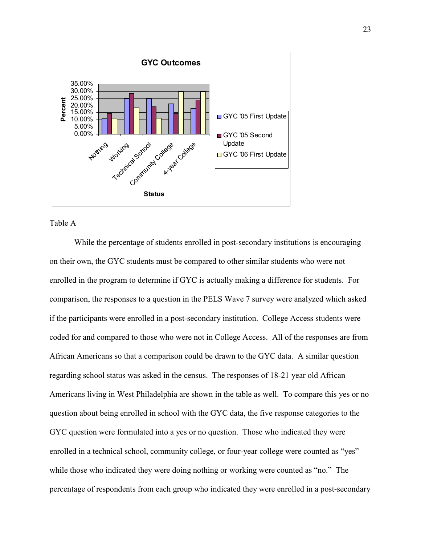

Table A

 While the percentage of students enrolled in post-secondary institutions is encouraging on their own, the GYC students must be compared to other similar students who were not enrolled in the program to determine if GYC is actually making a difference for students. For comparison, the responses to a question in the PELS Wave 7 survey were analyzed which asked if the participants were enrolled in a post-secondary institution. College Access students were coded for and compared to those who were not in College Access. All of the responses are from African Americans so that a comparison could be drawn to the GYC data. A similar question regarding school status was asked in the census. The responses of 18-21 year old African Americans living in West Philadelphia are shown in the table as well. To compare this yes or no question about being enrolled in school with the GYC data, the five response categories to the GYC question were formulated into a yes or no question. Those who indicated they were enrolled in a technical school, community college, or four-year college were counted as "yes" while those who indicated they were doing nothing or working were counted as "no." The percentage of respondents from each group who indicated they were enrolled in a post-secondary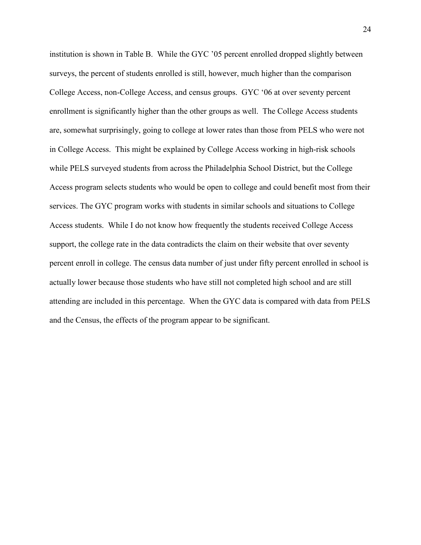institution is shown in Table B. While the GYC '05 percent enrolled dropped slightly between surveys, the percent of students enrolled is still, however, much higher than the comparison College Access, non-College Access, and census groups. GYC '06 at over seventy percent enrollment is significantly higher than the other groups as well. The College Access students are, somewhat surprisingly, going to college at lower rates than those from PELS who were not in College Access. This might be explained by College Access working in high-risk schools while PELS surveyed students from across the Philadelphia School District, but the College Access program selects students who would be open to college and could benefit most from their services. The GYC program works with students in similar schools and situations to College Access students. While I do not know how frequently the students received College Access support, the college rate in the data contradicts the claim on their website that over seventy percent enroll in college. The census data number of just under fifty percent enrolled in school is actually lower because those students who have still not completed high school and are still attending are included in this percentage. When the GYC data is compared with data from PELS and the Census, the effects of the program appear to be significant.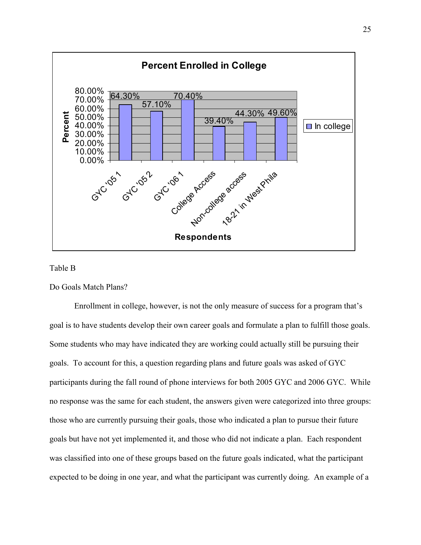

#### Table B

Do Goals Match Plans?

 Enrollment in college, however, is not the only measure of success for a program that's goal is to have students develop their own career goals and formulate a plan to fulfill those goals. Some students who may have indicated they are working could actually still be pursuing their goals. To account for this, a question regarding plans and future goals was asked of GYC participants during the fall round of phone interviews for both 2005 GYC and 2006 GYC. While no response was the same for each student, the answers given were categorized into three groups: those who are currently pursuing their goals, those who indicated a plan to pursue their future goals but have not yet implemented it, and those who did not indicate a plan. Each respondent was classified into one of these groups based on the future goals indicated, what the participant expected to be doing in one year, and what the participant was currently doing. An example of a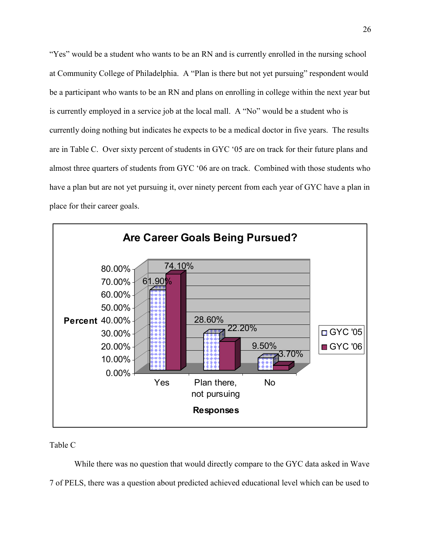"Yes" would be a student who wants to be an RN and is currently enrolled in the nursing school at Community College of Philadelphia. A "Plan is there but not yet pursuing" respondent would be a participant who wants to be an RN and plans on enrolling in college within the next year but is currently employed in a service job at the local mall. A "No" would be a student who is currently doing nothing but indicates he expects to be a medical doctor in five years. The results are in Table C. Over sixty percent of students in GYC '05 are on track for their future plans and almost three quarters of students from GYC '06 are on track. Combined with those students who have a plan but are not yet pursuing it, over ninety percent from each year of GYC have a plan in place for their career goals.



Table C

While there was no question that would directly compare to the GYC data asked in Wave 7 of PELS, there was a question about predicted achieved educational level which can be used to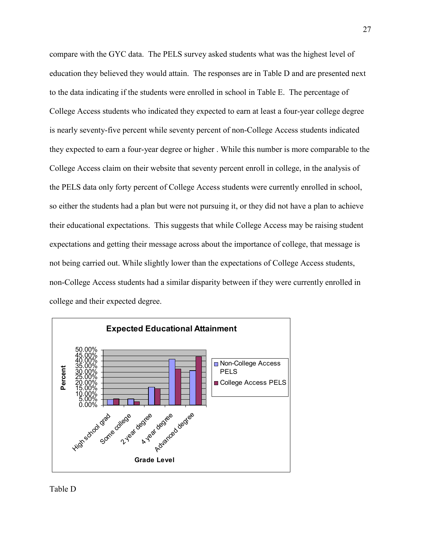compare with the GYC data. The PELS survey asked students what was the highest level of education they believed they would attain. The responses are in Table D and are presented next to the data indicating if the students were enrolled in school in Table E. The percentage of College Access students who indicated they expected to earn at least a four-year college degree is nearly seventy-five percent while seventy percent of non-College Access students indicated they expected to earn a four-year degree or higher . While this number is more comparable to the College Access claim on their website that seventy percent enroll in college, in the analysis of the PELS data only forty percent of College Access students were currently enrolled in school, so either the students had a plan but were not pursuing it, or they did not have a plan to achieve their educational expectations. This suggests that while College Access may be raising student expectations and getting their message across about the importance of college, that message is not being carried out. While slightly lower than the expectations of College Access students, non-College Access students had a similar disparity between if they were currently enrolled in college and their expected degree.



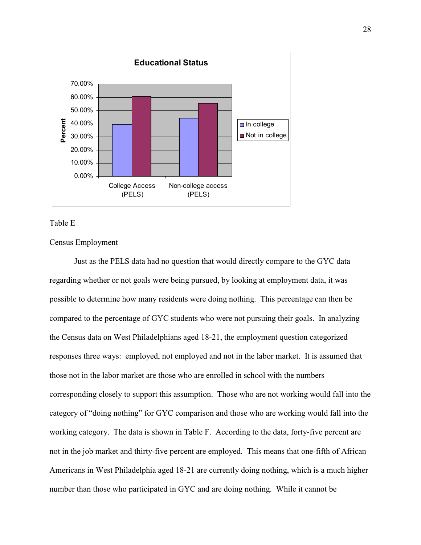

#### Table E

## Census Employment

 Just as the PELS data had no question that would directly compare to the GYC data regarding whether or not goals were being pursued, by looking at employment data, it was possible to determine how many residents were doing nothing. This percentage can then be compared to the percentage of GYC students who were not pursuing their goals. In analyzing the Census data on West Philadelphians aged 18-21, the employment question categorized responses three ways: employed, not employed and not in the labor market. It is assumed that those not in the labor market are those who are enrolled in school with the numbers corresponding closely to support this assumption. Those who are not working would fall into the category of "doing nothing" for GYC comparison and those who are working would fall into the working category. The data is shown in Table F. According to the data, forty-five percent are not in the job market and thirty-five percent are employed. This means that one-fifth of African Americans in West Philadelphia aged 18-21 are currently doing nothing, which is a much higher number than those who participated in GYC and are doing nothing. While it cannot be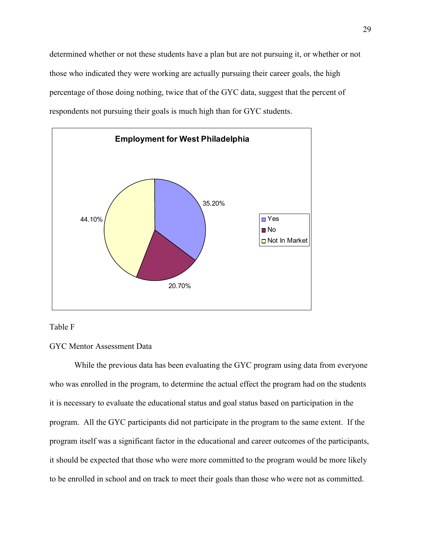determined whether or not these students have a plan but are not pursuing it, or whether or not those who indicated they were working are actually pursuing their career goals, the high percentage of those doing nothing, twice that of the GYC data, suggest that the percent of respondents not pursuing their goals is much high than for GYC students.



Table F

#### GYC Mentor Assessment Data

 While the previous data has been evaluating the GYC program using data from everyone who was enrolled in the program, to determine the actual effect the program had on the students it is necessary to evaluate the educational status and goal status based on participation in the program. All the GYC participants did not participate in the program to the same extent. If the program itself was a significant factor in the educational and career outcomes of the participants, it should be expected that those who were more committed to the program would be more likely to be enrolled in school and on track to meet their goals than those who were not as committed.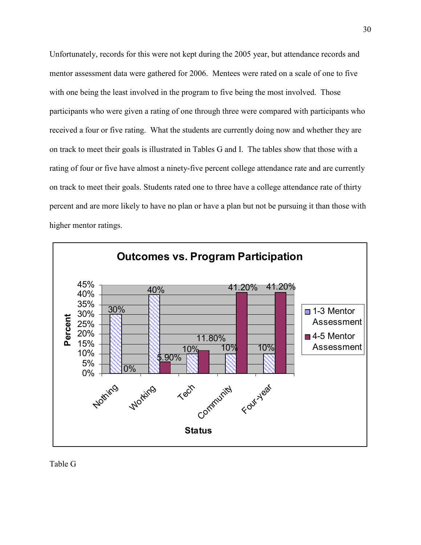Unfortunately, records for this were not kept during the 2005 year, but attendance records and mentor assessment data were gathered for 2006. Mentees were rated on a scale of one to five with one being the least involved in the program to five being the most involved. Those participants who were given a rating of one through three were compared with participants who received a four or five rating. What the students are currently doing now and whether they are on track to meet their goals is illustrated in Tables G and I. The tables show that those with a rating of four or five have almost a ninety-five percent college attendance rate and are currently on track to meet their goals. Students rated one to three have a college attendance rate of thirty percent and are more likely to have no plan or have a plan but not be pursuing it than those with higher mentor ratings.



Table G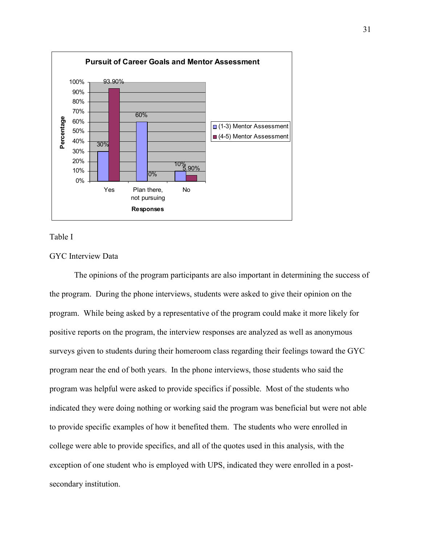

#### Table I

#### GYC Interview Data

 The opinions of the program participants are also important in determining the success of the program. During the phone interviews, students were asked to give their opinion on the program. While being asked by a representative of the program could make it more likely for positive reports on the program, the interview responses are analyzed as well as anonymous surveys given to students during their homeroom class regarding their feelings toward the GYC program near the end of both years. In the phone interviews, those students who said the program was helpful were asked to provide specifics if possible. Most of the students who indicated they were doing nothing or working said the program was beneficial but were not able to provide specific examples of how it benefited them. The students who were enrolled in college were able to provide specifics, and all of the quotes used in this analysis, with the exception of one student who is employed with UPS, indicated they were enrolled in a postsecondary institution.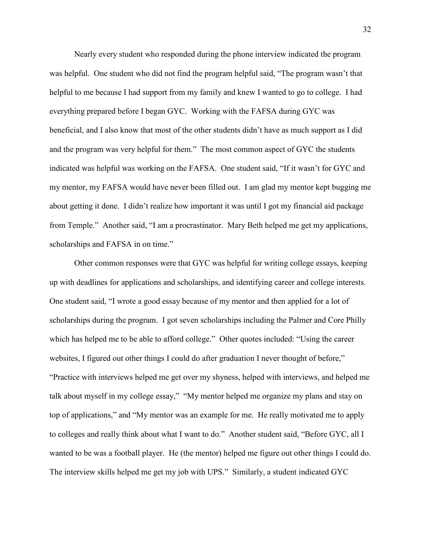Nearly every student who responded during the phone interview indicated the program was helpful. One student who did not find the program helpful said, "The program wasn't that helpful to me because I had support from my family and knew I wanted to go to college. I had everything prepared before I began GYC. Working with the FAFSA during GYC was beneficial, and I also know that most of the other students didn't have as much support as I did and the program was very helpful for them." The most common aspect of GYC the students indicated was helpful was working on the FAFSA. One student said, "If it wasn't for GYC and my mentor, my FAFSA would have never been filled out. I am glad my mentor kept bugging me about getting it done. I didn't realize how important it was until I got my financial aid package from Temple." Another said, "I am a procrastinator. Mary Beth helped me get my applications, scholarships and FAFSA in on time."

Other common responses were that GYC was helpful for writing college essays, keeping up with deadlines for applications and scholarships, and identifying career and college interests. One student said, "I wrote a good essay because of my mentor and then applied for a lot of scholarships during the program. I got seven scholarships including the Palmer and Core Philly which has helped me to be able to afford college." Other quotes included: "Using the career websites, I figured out other things I could do after graduation I never thought of before," "Practice with interviews helped me get over my shyness, helped with interviews, and helped me talk about myself in my college essay," "My mentor helped me organize my plans and stay on top of applications," and "My mentor was an example for me. He really motivated me to apply to colleges and really think about what I want to do." Another student said, "Before GYC, all I wanted to be was a football player. He (the mentor) helped me figure out other things I could do. The interview skills helped me get my job with UPS." Similarly, a student indicated GYC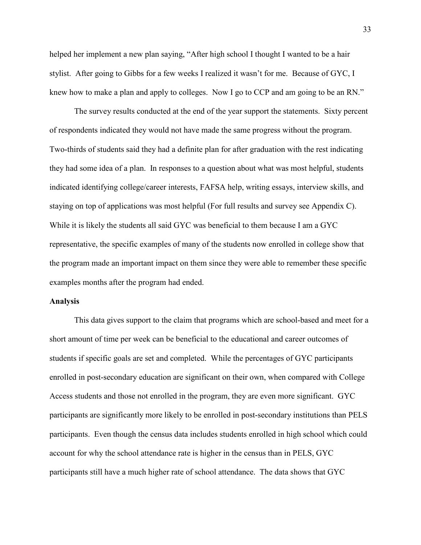helped her implement a new plan saying, "After high school I thought I wanted to be a hair stylist. After going to Gibbs for a few weeks I realized it wasn't for me. Because of GYC, I knew how to make a plan and apply to colleges. Now I go to CCP and am going to be an RN."

 The survey results conducted at the end of the year support the statements. Sixty percent of respondents indicated they would not have made the same progress without the program. Two-thirds of students said they had a definite plan for after graduation with the rest indicating they had some idea of a plan. In responses to a question about what was most helpful, students indicated identifying college/career interests, FAFSA help, writing essays, interview skills, and staying on top of applications was most helpful (For full results and survey see Appendix C). While it is likely the students all said GYC was beneficial to them because I am a GYC representative, the specific examples of many of the students now enrolled in college show that the program made an important impact on them since they were able to remember these specific examples months after the program had ended.

#### **Analysis**

 This data gives support to the claim that programs which are school-based and meet for a short amount of time per week can be beneficial to the educational and career outcomes of students if specific goals are set and completed. While the percentages of GYC participants enrolled in post-secondary education are significant on their own, when compared with College Access students and those not enrolled in the program, they are even more significant. GYC participants are significantly more likely to be enrolled in post-secondary institutions than PELS participants. Even though the census data includes students enrolled in high school which could account for why the school attendance rate is higher in the census than in PELS, GYC participants still have a much higher rate of school attendance. The data shows that GYC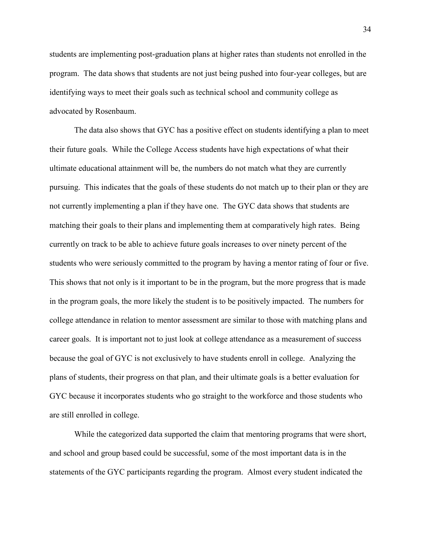students are implementing post-graduation plans at higher rates than students not enrolled in the program. The data shows that students are not just being pushed into four-year colleges, but are identifying ways to meet their goals such as technical school and community college as advocated by Rosenbaum.

 The data also shows that GYC has a positive effect on students identifying a plan to meet their future goals. While the College Access students have high expectations of what their ultimate educational attainment will be, the numbers do not match what they are currently pursuing. This indicates that the goals of these students do not match up to their plan or they are not currently implementing a plan if they have one. The GYC data shows that students are matching their goals to their plans and implementing them at comparatively high rates. Being currently on track to be able to achieve future goals increases to over ninety percent of the students who were seriously committed to the program by having a mentor rating of four or five. This shows that not only is it important to be in the program, but the more progress that is made in the program goals, the more likely the student is to be positively impacted. The numbers for college attendance in relation to mentor assessment are similar to those with matching plans and career goals. It is important not to just look at college attendance as a measurement of success because the goal of GYC is not exclusively to have students enroll in college. Analyzing the plans of students, their progress on that plan, and their ultimate goals is a better evaluation for GYC because it incorporates students who go straight to the workforce and those students who are still enrolled in college.

 While the categorized data supported the claim that mentoring programs that were short, and school and group based could be successful, some of the most important data is in the statements of the GYC participants regarding the program. Almost every student indicated the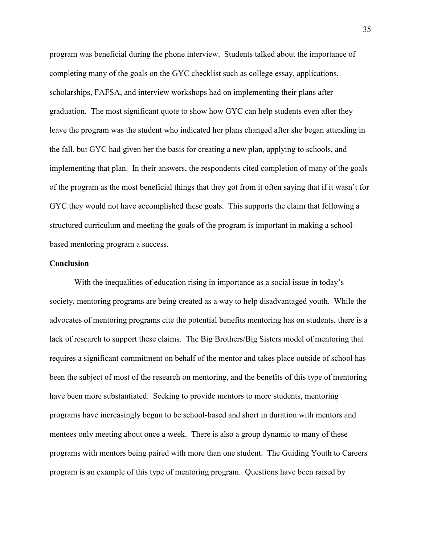program was beneficial during the phone interview. Students talked about the importance of completing many of the goals on the GYC checklist such as college essay, applications, scholarships, FAFSA, and interview workshops had on implementing their plans after graduation. The most significant quote to show how GYC can help students even after they leave the program was the student who indicated her plans changed after she began attending in the fall, but GYC had given her the basis for creating a new plan, applying to schools, and implementing that plan. In their answers, the respondents cited completion of many of the goals of the program as the most beneficial things that they got from it often saying that if it wasn't for GYC they would not have accomplished these goals. This supports the claim that following a structured curriculum and meeting the goals of the program is important in making a schoolbased mentoring program a success.

#### **Conclusion**

 With the inequalities of education rising in importance as a social issue in today's society, mentoring programs are being created as a way to help disadvantaged youth. While the advocates of mentoring programs cite the potential benefits mentoring has on students, there is a lack of research to support these claims. The Big Brothers/Big Sisters model of mentoring that requires a significant commitment on behalf of the mentor and takes place outside of school has been the subject of most of the research on mentoring, and the benefits of this type of mentoring have been more substantiated. Seeking to provide mentors to more students, mentoring programs have increasingly begun to be school-based and short in duration with mentors and mentees only meeting about once a week. There is also a group dynamic to many of these programs with mentors being paired with more than one student. The Guiding Youth to Careers program is an example of this type of mentoring program. Questions have been raised by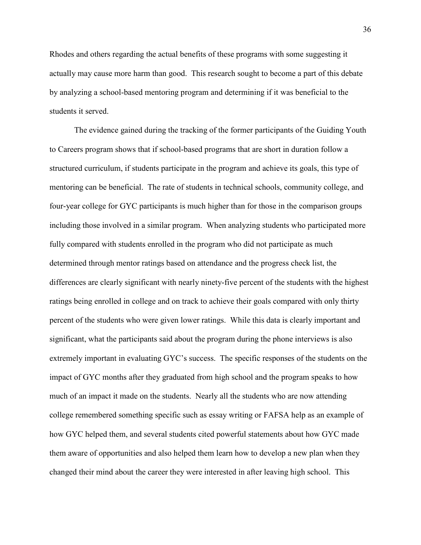Rhodes and others regarding the actual benefits of these programs with some suggesting it actually may cause more harm than good. This research sought to become a part of this debate by analyzing a school-based mentoring program and determining if it was beneficial to the students it served.

 The evidence gained during the tracking of the former participants of the Guiding Youth to Careers program shows that if school-based programs that are short in duration follow a structured curriculum, if students participate in the program and achieve its goals, this type of mentoring can be beneficial. The rate of students in technical schools, community college, and four-year college for GYC participants is much higher than for those in the comparison groups including those involved in a similar program. When analyzing students who participated more fully compared with students enrolled in the program who did not participate as much determined through mentor ratings based on attendance and the progress check list, the differences are clearly significant with nearly ninety-five percent of the students with the highest ratings being enrolled in college and on track to achieve their goals compared with only thirty percent of the students who were given lower ratings. While this data is clearly important and significant, what the participants said about the program during the phone interviews is also extremely important in evaluating GYC's success. The specific responses of the students on the impact of GYC months after they graduated from high school and the program speaks to how much of an impact it made on the students. Nearly all the students who are now attending college remembered something specific such as essay writing or FAFSA help as an example of how GYC helped them, and several students cited powerful statements about how GYC made them aware of opportunities and also helped them learn how to develop a new plan when they changed their mind about the career they were interested in after leaving high school. This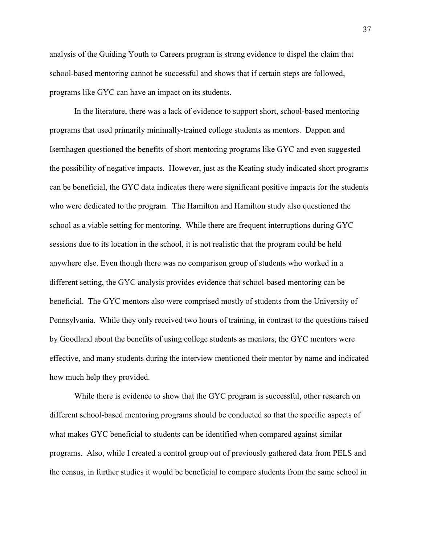analysis of the Guiding Youth to Careers program is strong evidence to dispel the claim that school-based mentoring cannot be successful and shows that if certain steps are followed, programs like GYC can have an impact on its students.

 In the literature, there was a lack of evidence to support short, school-based mentoring programs that used primarily minimally-trained college students as mentors. Dappen and Isernhagen questioned the benefits of short mentoring programs like GYC and even suggested the possibility of negative impacts. However, just as the Keating study indicated short programs can be beneficial, the GYC data indicates there were significant positive impacts for the students who were dedicated to the program. The Hamilton and Hamilton study also questioned the school as a viable setting for mentoring. While there are frequent interruptions during GYC sessions due to its location in the school, it is not realistic that the program could be held anywhere else. Even though there was no comparison group of students who worked in a different setting, the GYC analysis provides evidence that school-based mentoring can be beneficial. The GYC mentors also were comprised mostly of students from the University of Pennsylvania. While they only received two hours of training, in contrast to the questions raised by Goodland about the benefits of using college students as mentors, the GYC mentors were effective, and many students during the interview mentioned their mentor by name and indicated how much help they provided.

 While there is evidence to show that the GYC program is successful, other research on different school-based mentoring programs should be conducted so that the specific aspects of what makes GYC beneficial to students can be identified when compared against similar programs. Also, while I created a control group out of previously gathered data from PELS and the census, in further studies it would be beneficial to compare students from the same school in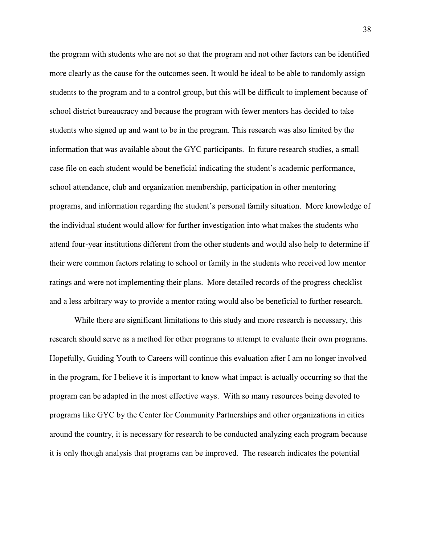the program with students who are not so that the program and not other factors can be identified more clearly as the cause for the outcomes seen. It would be ideal to be able to randomly assign students to the program and to a control group, but this will be difficult to implement because of school district bureaucracy and because the program with fewer mentors has decided to take students who signed up and want to be in the program. This research was also limited by the information that was available about the GYC participants. In future research studies, a small case file on each student would be beneficial indicating the student's academic performance, school attendance, club and organization membership, participation in other mentoring programs, and information regarding the student's personal family situation. More knowledge of the individual student would allow for further investigation into what makes the students who attend four-year institutions different from the other students and would also help to determine if their were common factors relating to school or family in the students who received low mentor ratings and were not implementing their plans. More detailed records of the progress checklist and a less arbitrary way to provide a mentor rating would also be beneficial to further research.

While there are significant limitations to this study and more research is necessary, this research should serve as a method for other programs to attempt to evaluate their own programs. Hopefully, Guiding Youth to Careers will continue this evaluation after I am no longer involved in the program, for I believe it is important to know what impact is actually occurring so that the program can be adapted in the most effective ways. With so many resources being devoted to programs like GYC by the Center for Community Partnerships and other organizations in cities around the country, it is necessary for research to be conducted analyzing each program because it is only though analysis that programs can be improved. The research indicates the potential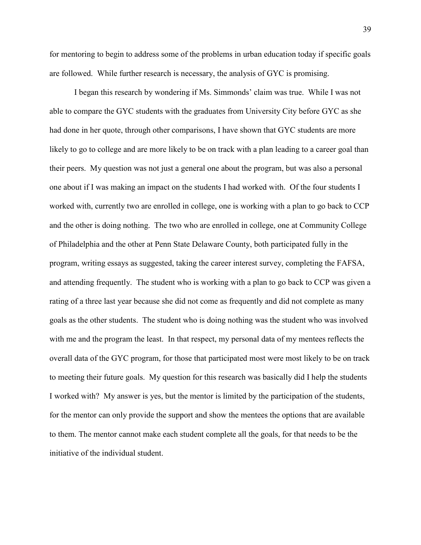for mentoring to begin to address some of the problems in urban education today if specific goals are followed. While further research is necessary, the analysis of GYC is promising.

 I began this research by wondering if Ms. Simmonds' claim was true. While I was not able to compare the GYC students with the graduates from University City before GYC as she had done in her quote, through other comparisons, I have shown that GYC students are more likely to go to college and are more likely to be on track with a plan leading to a career goal than their peers. My question was not just a general one about the program, but was also a personal one about if I was making an impact on the students I had worked with. Of the four students I worked with, currently two are enrolled in college, one is working with a plan to go back to CCP and the other is doing nothing. The two who are enrolled in college, one at Community College of Philadelphia and the other at Penn State Delaware County, both participated fully in the program, writing essays as suggested, taking the career interest survey, completing the FAFSA, and attending frequently. The student who is working with a plan to go back to CCP was given a rating of a three last year because she did not come as frequently and did not complete as many goals as the other students. The student who is doing nothing was the student who was involved with me and the program the least. In that respect, my personal data of my mentees reflects the overall data of the GYC program, for those that participated most were most likely to be on track to meeting their future goals. My question for this research was basically did I help the students I worked with? My answer is yes, but the mentor is limited by the participation of the students, for the mentor can only provide the support and show the mentees the options that are available to them. The mentor cannot make each student complete all the goals, for that needs to be the initiative of the individual student.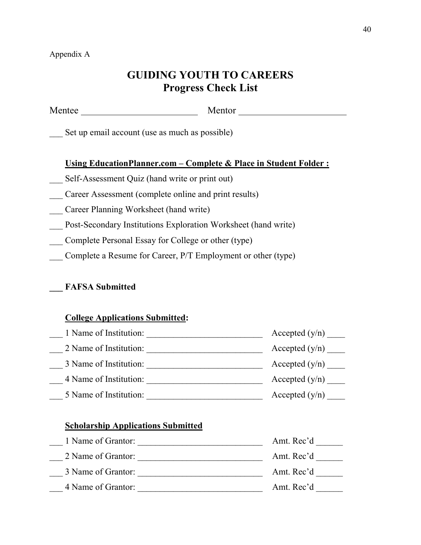## Appendix A

## **GUIDING YOUTH TO CAREERS Progress Check List**

Mentee Mentor Mentor

Set up email account (use as much as possible)

## **Using EducationPlanner.com – Complete & Place in Student Folder :**

- Self-Assessment Quiz (hand write or print out)
- Career Assessment (complete online and print results)
- \_\_\_ Career Planning Worksheet (hand write)
- Post-Secondary Institutions Exploration Worksheet (hand write)
- \_\_\_ Complete Personal Essay for College or other (type)
- \_\_\_ Complete a Resume for Career, P/T Employment or other (type)

## **\_\_\_ FAFSA Submitted**

## **College Applications Submitted:**

| Accepted $(y/n)$ |
|------------------|
| Accepted $(y/n)$ |
| Accepted $(y/n)$ |
| Accepted $(y/n)$ |
| Accepted $(y/n)$ |
|                  |

## **Scholarship Applications Submitted**

| 1 Name of Grantor: | Amt. Rec'd |
|--------------------|------------|
| 2 Name of Grantor: | Amt. Rec'd |
| 3 Name of Grantor: | Amt. Rec'd |
| 4 Name of Grantor: | Amt. Rec'd |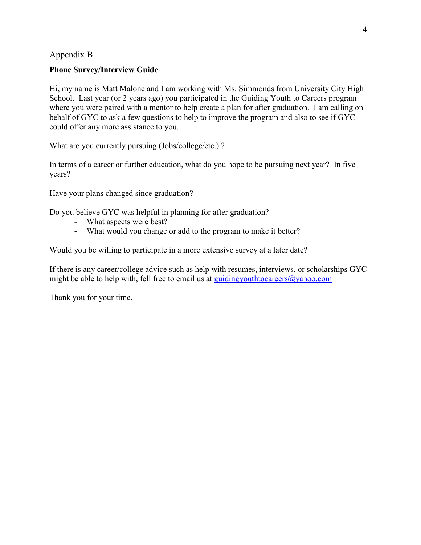## Appendix B

## **Phone Survey/Interview Guide**

Hi, my name is Matt Malone and I am working with Ms. Simmonds from University City High School. Last year (or 2 years ago) you participated in the Guiding Youth to Careers program where you were paired with a mentor to help create a plan for after graduation. I am calling on behalf of GYC to ask a few questions to help to improve the program and also to see if GYC could offer any more assistance to you.

What are you currently pursuing (Jobs/college/etc.) ?

In terms of a career or further education, what do you hope to be pursuing next year? In five years?

Have your plans changed since graduation?

Do you believe GYC was helpful in planning for after graduation?

- What aspects were best?
- What would you change or add to the program to make it better?

Would you be willing to participate in a more extensive survey at a later date?

If there is any career/college advice such as help with resumes, interviews, or scholarships GYC might be able to help with, fell free to email us at guidingyouthtocareers $\omega$ yahoo.com

Thank you for your time.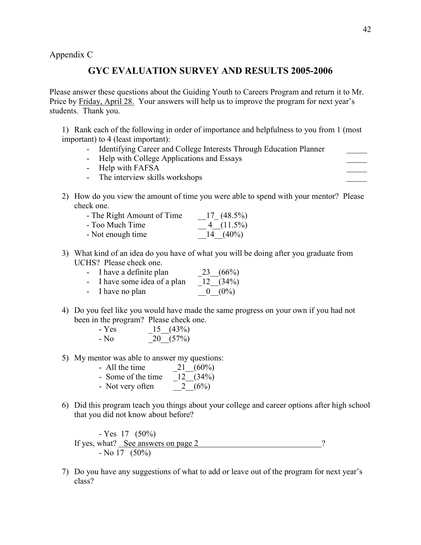Appendix C

## **GYC EVALUATION SURVEY AND RESULTS 2005-2006**

Please answer these questions about the Guiding Youth to Careers Program and return it to Mr. Price by Friday, April 28. Your answers will help us to improve the program for next year's students. Thank you.

1) Rank each of the following in order of importance and helpfulness to you from 1 (most important) to 4 (least important):

- Identifying Career and College Interests Through Education Planner
- Help with College Applications and Essays
- Help with FAFSA
- The interview skills workshops
- 2) How do you view the amount of time you were able to spend with your mentor? Please check one.

| - The Right Amount of Time | 17 $(48.5\%)$ |
|----------------------------|---------------|
| - Too Much Time            | $-4(11.5\%)$  |
| - Not enough time          | 14 $(40\%)$   |

3) What kind of an idea do you have of what you will be doing after you graduate from UCHS? Please check one.

| - I have a definite plan     | 23 $(66%)$        |
|------------------------------|-------------------|
| - I have some idea of a plan | $12 \quad (34\%)$ |
| - I have no plan             | $0 (0\%)$         |

4) Do you feel like you would have made the same progress on your own if you had not been in the program? Please check one.

| - Yes | 15(43%)    |
|-------|------------|
| - No  | 20 $(57%)$ |

5) My mentor was able to answer my questions:

| - All the time     | 21 $(60\%)$ |
|--------------------|-------------|
| - Some of the time | 12(34%)     |

- Not very often  $2(6%)$
- 6) Did this program teach you things about your college and career options after high school that you did not know about before?

- Yes 17 (50%) If yes, what? See answers on page 2 ?  $-$  No 17 (50%)

7) Do you have any suggestions of what to add or leave out of the program for next year's class?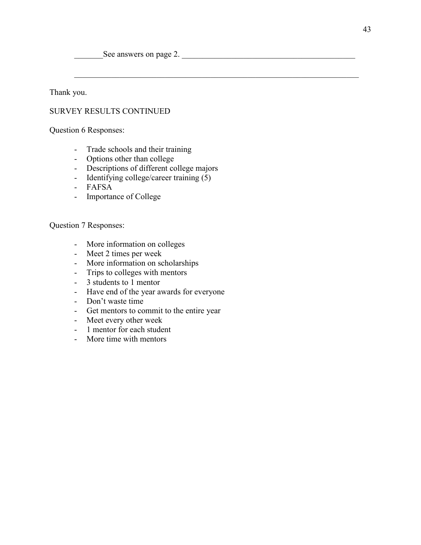See answers on page 2.

 $\mathcal{L}_\mathcal{L} = \mathcal{L}_\mathcal{L} = \mathcal{L}_\mathcal{L} = \mathcal{L}_\mathcal{L} = \mathcal{L}_\mathcal{L} = \mathcal{L}_\mathcal{L} = \mathcal{L}_\mathcal{L} = \mathcal{L}_\mathcal{L} = \mathcal{L}_\mathcal{L} = \mathcal{L}_\mathcal{L} = \mathcal{L}_\mathcal{L} = \mathcal{L}_\mathcal{L} = \mathcal{L}_\mathcal{L} = \mathcal{L}_\mathcal{L} = \mathcal{L}_\mathcal{L} = \mathcal{L}_\mathcal{L} = \mathcal{L}_\mathcal{L}$ 

Thank you.

## SURVEY RESULTS CONTINUED

Question 6 Responses:

- Trade schools and their training
- Options other than college
- Descriptions of different college majors
- Identifying college/career training (5)
- FAFSA
- Importance of College

Question 7 Responses:

- More information on colleges
- Meet 2 times per week
- More information on scholarships
- Trips to colleges with mentors
- 3 students to 1 mentor
- Have end of the year awards for everyone
- Don't waste time
- Get mentors to commit to the entire year
- Meet every other week
- 1 mentor for each student
- More time with mentors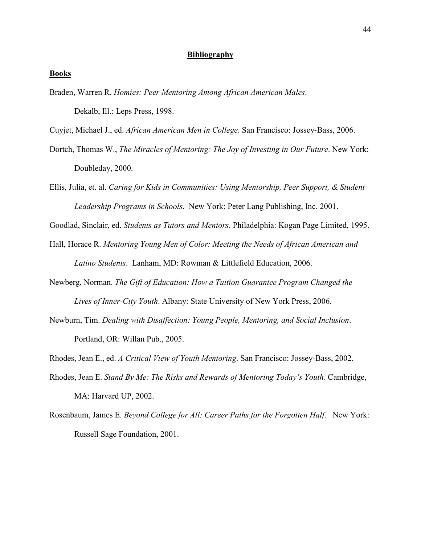#### **Bibliography**

#### **Books**

- Braden, Warren R. *Homies: Peer Mentoring Among African American Males*. Dekalb, Ill.: Leps Press, 1998.
- Cuyjet, Michael J., ed. *African American Men in College*. San Francisco: Jossey-Bass, 2006.
- Dortch, Thomas W., *The Miracles of Mentoring: The Joy of Investing in Our Future*. New York: Doubleday, 2000.
- Ellis, Julia, et. al. *Caring for Kids in Communities: Using Mentorship, Peer Support, & Student Leadership Programs in Schools*. New York: Peter Lang Publishing, Inc. 2001.

Goodlad, Sinclair, ed. *Students as Tutors and Mentors*. Philadelphia: Kogan Page Limited, 1995.

- Hall, Horace R. *Mentoring Young Men of Color: Meeting the Needs of African American and Latino Students*. Lanham, MD: Rowman & Littlefield Education, 2006.
- Newberg, Norman. *The Gift of Education: How a Tuition Guarantee Program Changed the Lives of Inner-City Youth*. Albany: State University of New York Press, 2006.
- Newburn, Tim. *Dealing with Disaffection: Young People, Mentoring, and Social Inclusion*. Portland, OR: Willan Pub., 2005.
- Rhodes, Jean E., ed. *A Critical View of Youth Mentoring*. San Francisco: Jossey-Bass, 2002.
- Rhodes, Jean E. *Stand By Me: The Risks and Rewards of Mentoring Today's Youth*. Cambridge, MA: Harvard UP, 2002.
- Rosenbaum, James E. *Beyond College for All: Career Paths for the Forgotten Half*. New York: Russell Sage Foundation, 2001.